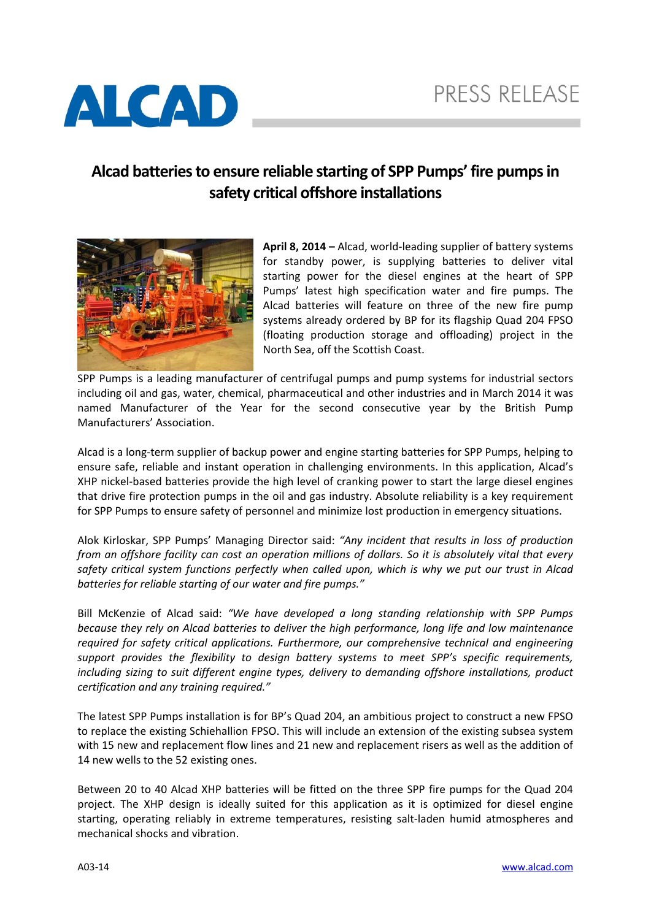

## **Alcad batteriesto ensure reliable starting of SPP Pumps' fire pumpsin safety critical offshore installations**



**April 8, 2014 –** Alcad, world‐leading supplier of battery systems for standby power, is supplying batteries to deliver vital starting power for the diesel engines at the heart of SPP Pumps' latest high specification water and fire pumps. The Alcad batteries will feature on three of the new fire pump systems already ordered by BP for its flagship Quad 204 FPSO (floating production storage and offloading) project in the North Sea, off the Scottish Coast.

SPP Pumps is a leading manufacturer of centrifugal pumps and pump systems for industrial sectors including oil and gas, water, chemical, pharmaceutical and other industries and in March 2014 it was named Manufacturer of the Year for the second consecutive year by the British Pump Manufacturers' Association.

Alcad is a long‐term supplier of backup power and engine starting batteries for SPP Pumps, helping to ensure safe, reliable and instant operation in challenging environments. In this application, Alcad's XHP nickel‐based batteries provide the high level of cranking power to start the large diesel engines that drive fire protection pumps in the oil and gas industry. Absolute reliability is a key requirement for SPP Pumps to ensure safety of personnel and minimize lost production in emergency situations.

Alok Kirloskar, SPP Pumps' Managing Director said: *"Any incident that results in loss of production* from an offshore facility can cost an operation millions of dollars. So it is absolutely vital that every *safety critical system functions perfectly when called upon, which is why we put our trust in Alcad batteries for reliable starting of our water and fire pumps."*

Bill McKenzie of Alcad said: *"We have developed a long standing relationship with SPP Pumps because they rely on Alcad batteries to deliver the high performance, long life and low maintenance required for safety critical applications. Furthermore, our comprehensive technical and engineering support provides the flexibility to design battery systems to meet SPP's specific requirements, including sizing to suit different engine types, delivery to demanding offshore installations, product certification and any training required."*

The latest SPP Pumps installation is for BP's Quad 204, an ambitious project to construct a new FPSO to replace the existing Schiehallion FPSO. This will include an extension of the existing subsea system with 15 new and replacement flow lines and 21 new and replacement risers as well as the addition of 14 new wells to the 52 existing ones.

Between 20 to 40 Alcad XHP batteries will be fitted on the three SPP fire pumps for the Quad 204 project. The XHP design is ideally suited for this application as it is optimized for diesel engine starting, operating reliably in extreme temperatures, resisting salt-laden humid atmospheres and mechanical shocks and vibration.